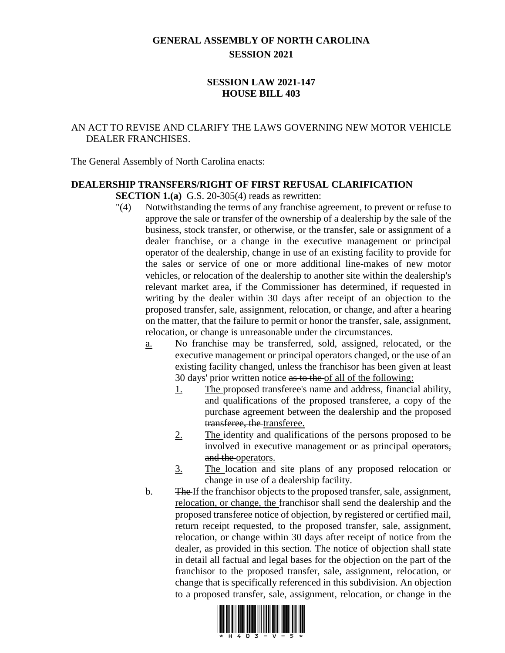## **GENERAL ASSEMBLY OF NORTH CAROLINA SESSION 2021**

## **SESSION LAW 2021-147 HOUSE BILL 403**

## AN ACT TO REVISE AND CLARIFY THE LAWS GOVERNING NEW MOTOR VEHICLE DEALER FRANCHISES.

The General Assembly of North Carolina enacts:

#### **DEALERSHIP TRANSFERS/RIGHT OF FIRST REFUSAL CLARIFICATION**

**SECTION 1.(a)** G.S. 20-305(4) reads as rewritten:

- "(4) Notwithstanding the terms of any franchise agreement, to prevent or refuse to approve the sale or transfer of the ownership of a dealership by the sale of the business, stock transfer, or otherwise, or the transfer, sale or assignment of a dealer franchise, or a change in the executive management or principal operator of the dealership, change in use of an existing facility to provide for the sales or service of one or more additional line-makes of new motor vehicles, or relocation of the dealership to another site within the dealership's relevant market area, if the Commissioner has determined, if requested in writing by the dealer within 30 days after receipt of an objection to the proposed transfer, sale, assignment, relocation, or change, and after a hearing on the matter, that the failure to permit or honor the transfer, sale, assignment, relocation, or change is unreasonable under the circumstances.
	- a. No franchise may be transferred, sold, assigned, relocated, or the executive management or principal operators changed, or the use of an existing facility changed, unless the franchisor has been given at least 30 days' prior written notice as to the of all of the following:
		- 1. The proposed transferee's name and address, financial ability, and qualifications of the proposed transferee, a copy of the purchase agreement between the dealership and the proposed transferee, the transferee.
		- 2. The identity and qualifications of the persons proposed to be involved in executive management or as principal operators, and the operators.
		- 3. The location and site plans of any proposed relocation or change in use of a dealership facility.
	- b. The If the franchisor objects to the proposed transfer, sale, assignment, relocation, or change, the franchisor shall send the dealership and the proposed transferee notice of objection, by registered or certified mail, return receipt requested, to the proposed transfer, sale, assignment, relocation, or change within 30 days after receipt of notice from the dealer, as provided in this section. The notice of objection shall state in detail all factual and legal bases for the objection on the part of the franchisor to the proposed transfer, sale, assignment, relocation, or change that is specifically referenced in this subdivision. An objection to a proposed transfer, sale, assignment, relocation, or change in the

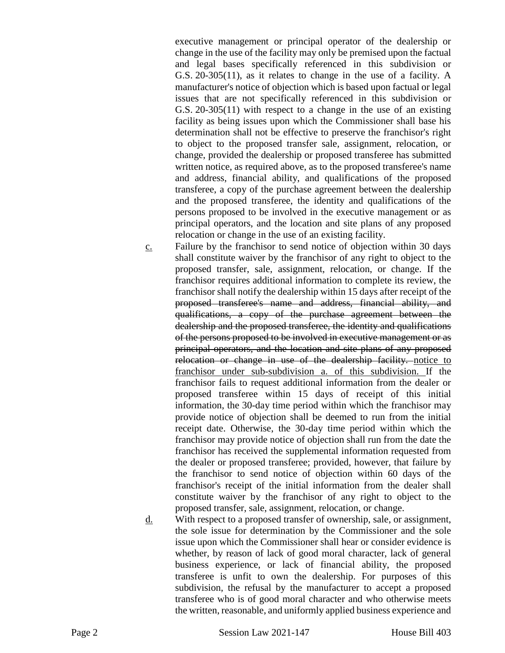executive management or principal operator of the dealership or change in the use of the facility may only be premised upon the factual and legal bases specifically referenced in this subdivision or G.S. 20-305(11), as it relates to change in the use of a facility. A manufacturer's notice of objection which is based upon factual or legal issues that are not specifically referenced in this subdivision or G.S. 20-305(11) with respect to a change in the use of an existing facility as being issues upon which the Commissioner shall base his determination shall not be effective to preserve the franchisor's right to object to the proposed transfer sale, assignment, relocation, or change, provided the dealership or proposed transferee has submitted written notice, as required above, as to the proposed transferee's name and address, financial ability, and qualifications of the proposed transferee, a copy of the purchase agreement between the dealership and the proposed transferee, the identity and qualifications of the persons proposed to be involved in the executive management or as principal operators, and the location and site plans of any proposed relocation or change in the use of an existing facility.

- c. Failure by the franchisor to send notice of objection within 30 days shall constitute waiver by the franchisor of any right to object to the proposed transfer, sale, assignment, relocation, or change. If the franchisor requires additional information to complete its review, the franchisor shall notify the dealership within 15 days after receipt of the proposed transferee's name and address, financial ability, and qualifications, a copy of the purchase agreement between the dealership and the proposed transferee, the identity and qualifications of the persons proposed to be involved in executive management or as principal operators, and the location and site plans of any proposed relocation or change in use of the dealership facility. notice to franchisor under sub-subdivision a. of this subdivision. If the franchisor fails to request additional information from the dealer or proposed transferee within 15 days of receipt of this initial information, the 30-day time period within which the franchisor may provide notice of objection shall be deemed to run from the initial receipt date. Otherwise, the 30-day time period within which the franchisor may provide notice of objection shall run from the date the franchisor has received the supplemental information requested from the dealer or proposed transferee; provided, however, that failure by the franchisor to send notice of objection within 60 days of the franchisor's receipt of the initial information from the dealer shall constitute waiver by the franchisor of any right to object to the proposed transfer, sale, assignment, relocation, or change.
- d. With respect to a proposed transfer of ownership, sale, or assignment, the sole issue for determination by the Commissioner and the sole issue upon which the Commissioner shall hear or consider evidence is whether, by reason of lack of good moral character, lack of general business experience, or lack of financial ability, the proposed transferee is unfit to own the dealership. For purposes of this subdivision, the refusal by the manufacturer to accept a proposed transferee who is of good moral character and who otherwise meets the written, reasonable, and uniformly applied business experience and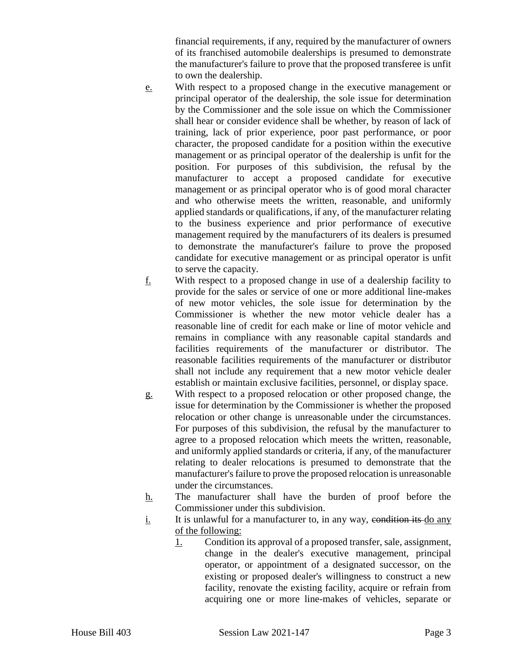financial requirements, if any, required by the manufacturer of owners of its franchised automobile dealerships is presumed to demonstrate the manufacturer's failure to prove that the proposed transferee is unfit to own the dealership.

- e. With respect to a proposed change in the executive management or principal operator of the dealership, the sole issue for determination by the Commissioner and the sole issue on which the Commissioner shall hear or consider evidence shall be whether, by reason of lack of training, lack of prior experience, poor past performance, or poor character, the proposed candidate for a position within the executive management or as principal operator of the dealership is unfit for the position. For purposes of this subdivision, the refusal by the manufacturer to accept a proposed candidate for executive management or as principal operator who is of good moral character and who otherwise meets the written, reasonable, and uniformly applied standards or qualifications, if any, of the manufacturer relating to the business experience and prior performance of executive management required by the manufacturers of its dealers is presumed to demonstrate the manufacturer's failure to prove the proposed candidate for executive management or as principal operator is unfit to serve the capacity.
- f. With respect to a proposed change in use of a dealership facility to provide for the sales or service of one or more additional line-makes of new motor vehicles, the sole issue for determination by the Commissioner is whether the new motor vehicle dealer has a reasonable line of credit for each make or line of motor vehicle and remains in compliance with any reasonable capital standards and facilities requirements of the manufacturer or distributor. The reasonable facilities requirements of the manufacturer or distributor shall not include any requirement that a new motor vehicle dealer establish or maintain exclusive facilities, personnel, or display space.
- g. With respect to a proposed relocation or other proposed change, the issue for determination by the Commissioner is whether the proposed relocation or other change is unreasonable under the circumstances. For purposes of this subdivision, the refusal by the manufacturer to agree to a proposed relocation which meets the written, reasonable, and uniformly applied standards or criteria, if any, of the manufacturer relating to dealer relocations is presumed to demonstrate that the manufacturer's failure to prove the proposed relocation is unreasonable under the circumstances.
- h. The manufacturer shall have the burden of proof before the Commissioner under this subdivision.
- $i.$  It is unlawful for a manufacturer to, in any way, condition its do any of the following:
	- 1. Condition its approval of a proposed transfer, sale, assignment, change in the dealer's executive management, principal operator, or appointment of a designated successor, on the existing or proposed dealer's willingness to construct a new facility, renovate the existing facility, acquire or refrain from acquiring one or more line-makes of vehicles, separate or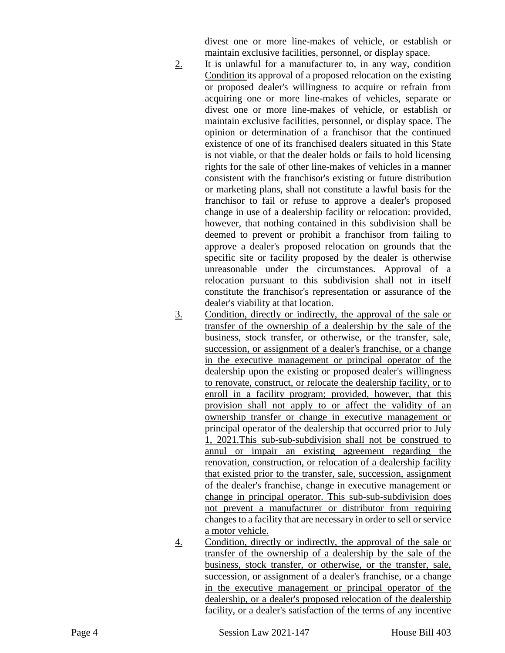divest one or more line -makes of vehicle, or establish or maintain exclusive facilities, personnel, or display space.

- 2. It is unlawful for a manufacturer to, in any way, condition Condition its approval of a proposed relocation on the existing or proposed dealer's willingness to acquire or refrain from acquiring one or more line -makes of vehicles, separate or divest one or more line -makes of vehicle, or establish or maintain exclusive facilities, personnel, or display space. The opinion or determination of a franchisor that the continued existence of one of its franchised dealers situated in this State is not viable, or that the dealer holds or fails to hold licensing rights for the sale of other line -makes of vehicles in a manner consistent with the franchisor's existing or future distribution or marketing plans, shall not constitute a lawful basis for the franchisor to fail or refuse to approve a dealer's proposed change in use of a dealership facility or relocation: provided, however, that nothing contained in this subdivision shall be deemed to prevent or prohibit a franchisor from failing to approve a dealer's proposed relocation on grounds that the specific site or facility proposed by the dealer is otherwise unreasonable under the circumstances. Approval of a relocation pursuant to this subdivision shall not in itself constitute the franchisor's representation or assurance of the dealer's viability at that location.
- 3. Condition, directly or indirectly, the approval of the sale or transfer of the ownership of a dealership by the sale of the business, stock transfer, or otherwise, or the transfer, sale, succession, or assignment of a dealer's franchise, or a change in the executive management or principal operator of the dealership upon the existing or proposed dealer's willingness to renovate, construct , or relocate the dealership facility, or to enroll in a facility program; provided, however, that this provision shall not apply to or affect the validity of an ownership transfer or change in executive management or principal operator of the dealership that occurred prior to July 1, 2021 .This sub -sub -subdivision shall not be construed to annul or impair an existing agreement regarding the renovation, construction, or relocation of a dealership facility that existed prior to the transfer, sale, succession, assignment of the dealer's franchise, change in executive management or change in principal operator. This sub -sub -subdivision does not prevent a manufacturer or distributor from requiring changes to a facility that are necessary in order to sell or service a motor vehicle.
- 
- 4. Condition, directly or indirectly, the approval of the sale or transfer of the ownership of a dealership by the sale of the business, stock transfer, or otherwise, or the transfer, sale, succession, or assignment of a dealer's franchise, or a change in the executive management or principal operator of the dealership, or a dealer's proposed relocation of the dealership facility, or a dealer's satisfaction of the terms of any incentive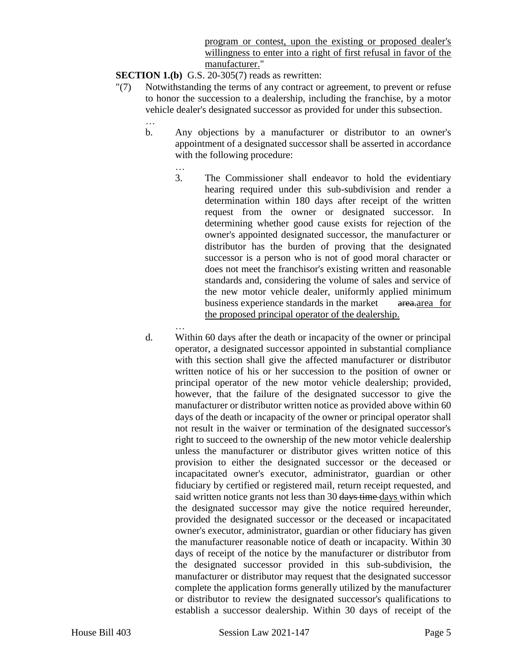program or contest, upon the existing or proposed dealer's willingness to enter into a right of first refusal in favor of the manufacturer."

**SECTION 1.(b)** G.S. 20-305(7) reads as rewritten:

- "(7) Notwithstanding the terms of any contract or agreement, to prevent or refuse to honor the succession to a dealership, including the franchise, by a motor vehicle dealer's designated successor as provided for under this subsection. …
	- b. Any objections by a manufacturer or distributor to an owner's appointment of a designated successor shall be asserted in accordance with the following procedure:
		- … 3. The Commissioner shall endeavor to hold the evidentiary hearing required under this sub-subdivision and render a determination within 180 days after receipt of the written request from the owner or designated successor. In determining whether good cause exists for rejection of the owner's appointed designated successor, the manufacturer or distributor has the burden of proving that the designated successor is a person who is not of good moral character or does not meet the franchisor's existing written and reasonable standards and, considering the volume of sales and service of the new motor vehicle dealer, uniformly applied minimum business experience standards in the market area.area for the proposed principal operator of the dealership.
		- …
	- d. Within 60 days after the death or incapacity of the owner or principal operator, a designated successor appointed in substantial compliance with this section shall give the affected manufacturer or distributor written notice of his or her succession to the position of owner or principal operator of the new motor vehicle dealership; provided, however, that the failure of the designated successor to give the manufacturer or distributor written notice as provided above within 60 days of the death or incapacity of the owner or principal operator shall not result in the waiver or termination of the designated successor's right to succeed to the ownership of the new motor vehicle dealership unless the manufacturer or distributor gives written notice of this provision to either the designated successor or the deceased or incapacitated owner's executor, administrator, guardian or other fiduciary by certified or registered mail, return receipt requested, and said written notice grants not less than 30 days time days within which the designated successor may give the notice required hereunder, provided the designated successor or the deceased or incapacitated owner's executor, administrator, guardian or other fiduciary has given the manufacturer reasonable notice of death or incapacity. Within 30 days of receipt of the notice by the manufacturer or distributor from the designated successor provided in this sub-subdivision, the manufacturer or distributor may request that the designated successor complete the application forms generally utilized by the manufacturer or distributor to review the designated successor's qualifications to establish a successor dealership. Within 30 days of receipt of the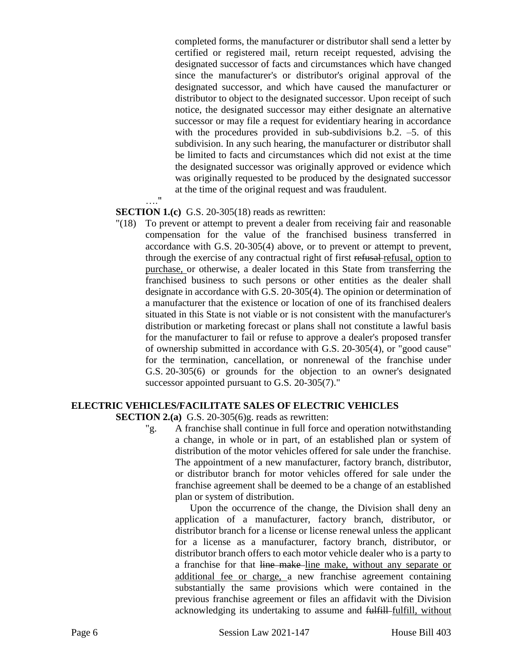completed forms, the manufacturer or distributor shall send a letter by certified or registered mail, return receipt requested, advising the designated successor of facts and circumstances which have changed since the manufacturer's or distributor's original approval of the designated successor, and which have caused the manufacturer or distributor to object to the designated successor. Upon receipt of such notice, the designated successor may either designate an alternative successor or may file a request for evidentiary hearing in accordance with the procedures provided in sub-subdivisions  $b.2$ .  $-5$ . of this subdivision. In any such hearing, the manufacturer or distributor shall be limited to facts and circumstances which did not exist at the time the designated successor was originally approved or evidence which was originally requested to be produced by the designated successor at the time of the original request and was fraudulent.

## …."

#### **SECTION 1.(c)** G.S. 20-305(18) reads as rewritten:

"(18) To prevent or attempt to prevent a dealer from receiving fair and reasonable compensation for the value of the franchised business transferred in accordance with G.S. 20-305(4) above, or to prevent or attempt to prevent, through the exercise of any contractual right of first refusal refusal, option to purchase, or otherwise, a dealer located in this State from transferring the franchised business to such persons or other entities as the dealer shall designate in accordance with G.S. 20-305(4). The opinion or determination of a manufacturer that the existence or location of one of its franchised dealers situated in this State is not viable or is not consistent with the manufacturer's distribution or marketing forecast or plans shall not constitute a lawful basis for the manufacturer to fail or refuse to approve a dealer's proposed transfer of ownership submitted in accordance with G.S. 20-305(4), or "good cause" for the termination, cancellation, or nonrenewal of the franchise under G.S. 20-305(6) or grounds for the objection to an owner's designated successor appointed pursuant to G.S. 20-305(7)."

## **ELECTRIC VEHICLES/FACILITATE SALES OF ELECTRIC VEHICLES**

**SECTION 2.(a)** G.S. 20-305(6)g. reads as rewritten:

"g. A franchise shall continue in full force and operation notwithstanding a change, in whole or in part, of an established plan or system of distribution of the motor vehicles offered for sale under the franchise. The appointment of a new manufacturer, factory branch, distributor, or distributor branch for motor vehicles offered for sale under the franchise agreement shall be deemed to be a change of an established plan or system of distribution.

Upon the occurrence of the change, the Division shall deny an application of a manufacturer, factory branch, distributor, or distributor branch for a license or license renewal unless the applicant for a license as a manufacturer, factory branch, distributor, or distributor branch offers to each motor vehicle dealer who is a party to a franchise for that line make line make, without any separate or additional fee or charge, a new franchise agreement containing substantially the same provisions which were contained in the previous franchise agreement or files an affidavit with the Division acknowledging its undertaking to assume and fulfill-fulfill, without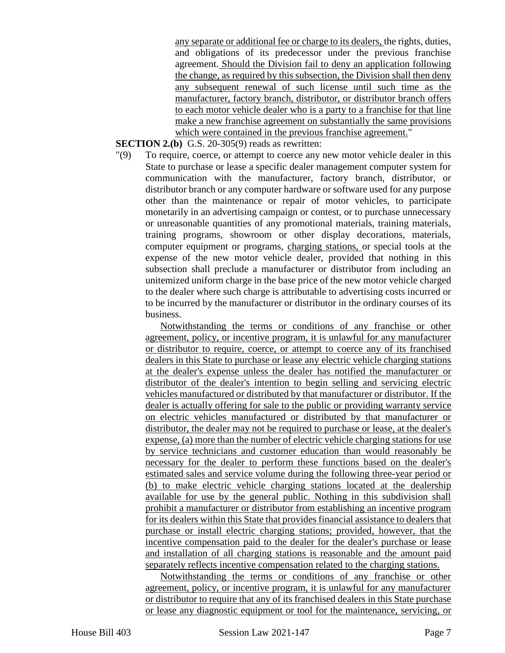any separate or additional fee or charge to its dealers, the rights, duties, and obligations of its predecessor under the previous franchise agreement. Should the Division fail to deny an application following the change, as required by this subsection, the Division shall then deny any subsequent renewal of such license until such time as the manufacturer, factory branch, distributor, or distributor branch offers to each motor vehicle dealer who is a party to a franchise for that line make a new franchise agreement on substantially the same provisions which were contained in the previous franchise agreement."

**SECTION 2.(b)** G.S. 20-305(9) reads as rewritten:

"(9) To require, coerce, or attempt to coerce any new motor vehicle dealer in this State to purchase or lease a specific dealer management computer system for communication with the manufacturer, factory branch, distributor, or distributor branch or any computer hardware or software used for any purpose other than the maintenance or repair of motor vehicles, to participate monetarily in an advertising campaign or contest, or to purchase unnecessary or unreasonable quantities of any promotional materials, training materials, training programs, showroom or other display decorations, materials, computer equipment or programs, charging stations, or special tools at the expense of the new motor vehicle dealer, provided that nothing in this subsection shall preclude a manufacturer or distributor from including an unitemized uniform charge in the base price of the new motor vehicle charged to the dealer where such charge is attributable to advertising costs incurred or to be incurred by the manufacturer or distributor in the ordinary courses of its business.

Notwithstanding the terms or conditions of any franchise or other agreement, policy, or incentive program, it is unlawful for any manufacturer or distributor to require, coerce, or attempt to coerce any of its franchised dealers in this State to purchase or lease any electric vehicle charging stations at the dealer's expense unless the dealer has notified the manufacturer or distributor of the dealer's intention to begin selling and servicing electric vehicles manufactured or distributed by that manufacturer or distributor. If the dealer is actually offering for sale to the public or providing warranty service on electric vehicles manufactured or distributed by that manufacturer or distributor, the dealer may not be required to purchase or lease, at the dealer's expense, (a) more than the number of electric vehicle charging stations for use by service technicians and customer education than would reasonably be necessary for the dealer to perform these functions based on the dealer's estimated sales and service volume during the following three-year period or (b) to make electric vehicle charging stations located at the dealership available for use by the general public. Nothing in this subdivision shall prohibit a manufacturer or distributor from establishing an incentive program for its dealers within this State that provides financial assistance to dealers that purchase or install electric charging stations; provided, however, that the incentive compensation paid to the dealer for the dealer's purchase or lease and installation of all charging stations is reasonable and the amount paid separately reflects incentive compensation related to the charging stations.

Notwithstanding the terms or conditions of any franchise or other agreement, policy, or incentive program, it is unlawful for any manufacturer or distributor to require that any of its franchised dealers in this State purchase or lease any diagnostic equipment or tool for the maintenance, servicing, or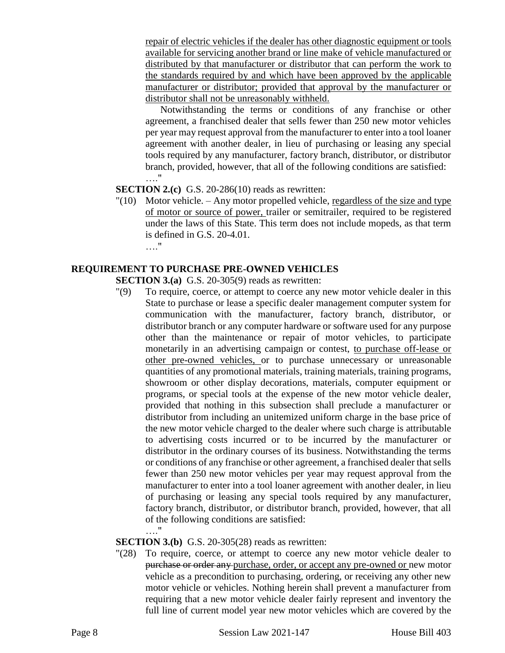repair of electric vehicles if the dealer has other diagnostic equipment or tools available for servicing another brand or line make of vehicle manufactured or distributed by that manufacturer or distributor that can perform the work to the standards required by and which have been approved by the applicable manufacturer or distributor; provided that approval by the manufacturer or distributor shall not be unreasonably withheld.

Notwithstanding the terms or conditions of any franchise or other agreement, a franchised dealer that sells fewer than 250 new motor vehicles per year may request approval from the manufacturer to enter into a tool loaner agreement with another dealer, in lieu of purchasing or leasing any special tools required by any manufacturer, factory branch, distributor, or distributor branch, provided, however, that all of the following conditions are satisfied: …."

## **SECTION 2.(c)** G.S. 20-286(10) reads as rewritten:

 $\Gamma(10)$  Motor vehicle. – Any motor propelled vehicle, regardless of the size and type of motor or source of power, trailer or semitrailer, required to be registered under the laws of this State. This term does not include mopeds, as that term is defined in G.S. 20-4.01. …."

#### **REQUIREMENT TO PURCHASE PRE-OWNED VEHICLES**

**SECTION 3.(a)** G.S. 20-305(9) reads as rewritten:

"(9) To require, coerce, or attempt to coerce any new motor vehicle dealer in this State to purchase or lease a specific dealer management computer system for communication with the manufacturer, factory branch, distributor, or distributor branch or any computer hardware or software used for any purpose other than the maintenance or repair of motor vehicles, to participate monetarily in an advertising campaign or contest, to purchase off-lease or other pre-owned vehicles, or to purchase unnecessary or unreasonable quantities of any promotional materials, training materials, training programs, showroom or other display decorations, materials, computer equipment or programs, or special tools at the expense of the new motor vehicle dealer, provided that nothing in this subsection shall preclude a manufacturer or distributor from including an unitemized uniform charge in the base price of the new motor vehicle charged to the dealer where such charge is attributable to advertising costs incurred or to be incurred by the manufacturer or distributor in the ordinary courses of its business. Notwithstanding the terms or conditions of any franchise or other agreement, a franchised dealer that sells fewer than 250 new motor vehicles per year may request approval from the manufacturer to enter into a tool loaner agreement with another dealer, in lieu of purchasing or leasing any special tools required by any manufacturer, factory branch, distributor, or distributor branch, provided, however, that all of the following conditions are satisfied:

…."

#### **SECTION 3.(b)** G.S. 20-305(28) reads as rewritten:

"(28) To require, coerce, or attempt to coerce any new motor vehicle dealer to purchase or order any purchase, order, or accept any pre-owned or new motor vehicle as a precondition to purchasing, ordering, or receiving any other new motor vehicle or vehicles. Nothing herein shall prevent a manufacturer from requiring that a new motor vehicle dealer fairly represent and inventory the full line of current model year new motor vehicles which are covered by the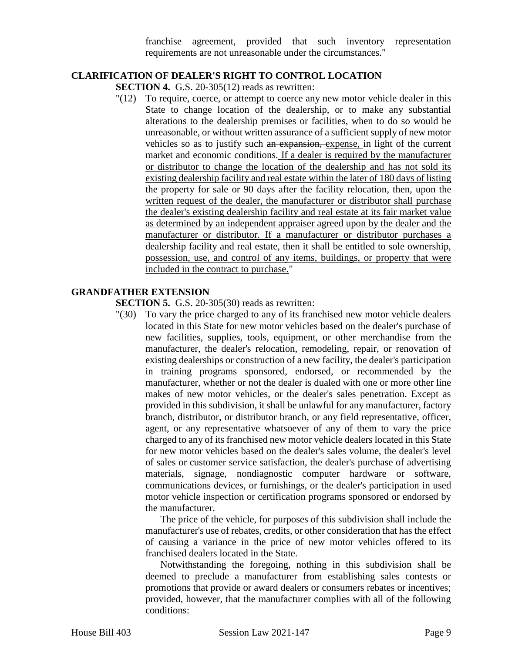franchise agreement, provided that such inventory representation requirements are not unreasonable under the circumstances."

### **CLARIFICATION OF DEALER'S RIGHT TO CONTROL LOCATION**

**SECTION 4.** G.S. 20-305(12) reads as rewritten:

"(12) To require, coerce, or attempt to coerce any new motor vehicle dealer in this State to change location of the dealership, or to make any substantial alterations to the dealership premises or facilities, when to do so would be unreasonable, or without written assurance of a sufficient supply of new motor vehicles so as to justify such an expansion, expense, in light of the current market and economic conditions. If a dealer is required by the manufacturer or distributor to change the location of the dealership and has not sold its existing dealership facility and real estate within the later of 180 days of listing the property for sale or 90 days after the facility relocation, then, upon the written request of the dealer, the manufacturer or distributor shall purchase the dealer's existing dealership facility and real estate at its fair market value as determined by an independent appraiser agreed upon by the dealer and the manufacturer or distributor. If a manufacturer or distributor purchases a dealership facility and real estate, then it shall be entitled to sole ownership, possession, use, and control of any items, buildings, or property that were included in the contract to purchase."

### **GRANDFATHER EXTENSION**

**SECTION 5.** G.S. 20-305(30) reads as rewritten:

"(30) To vary the price charged to any of its franchised new motor vehicle dealers located in this State for new motor vehicles based on the dealer's purchase of new facilities, supplies, tools, equipment, or other merchandise from the manufacturer, the dealer's relocation, remodeling, repair, or renovation of existing dealerships or construction of a new facility, the dealer's participation in training programs sponsored, endorsed, or recommended by the manufacturer, whether or not the dealer is dualed with one or more other line makes of new motor vehicles, or the dealer's sales penetration. Except as provided in this subdivision, it shall be unlawful for any manufacturer, factory branch, distributor, or distributor branch, or any field representative, officer, agent, or any representative whatsoever of any of them to vary the price charged to any of its franchised new motor vehicle dealers located in this State for new motor vehicles based on the dealer's sales volume, the dealer's level of sales or customer service satisfaction, the dealer's purchase of advertising materials, signage, nondiagnostic computer hardware or software, communications devices, or furnishings, or the dealer's participation in used motor vehicle inspection or certification programs sponsored or endorsed by the manufacturer.

The price of the vehicle, for purposes of this subdivision shall include the manufacturer's use of rebates, credits, or other consideration that has the effect of causing a variance in the price of new motor vehicles offered to its franchised dealers located in the State.

Notwithstanding the foregoing, nothing in this subdivision shall be deemed to preclude a manufacturer from establishing sales contests or promotions that provide or award dealers or consumers rebates or incentives; provided, however, that the manufacturer complies with all of the following conditions: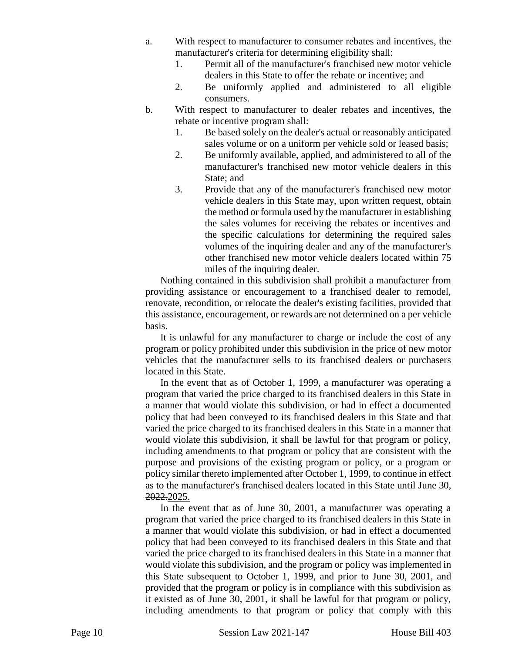- a. With respect to manufacturer to consumer rebates and incentives, the manufacturer's criteria for determining eligibility shall:
	- 1. Permit all of the manufacturer's franchised new motor vehicle dealers in this State to offer the rebate or incentive; and
	- 2. Be uniformly applied and administered to all eligible consumers.
- b. With respect to manufacturer to dealer rebates and incentives, the rebate or incentive program shall:
	- 1. Be based solely on the dealer's actual or reasonably anticipated sales volume or on a uniform per vehicle sold or leased basis;
	- 2. Be uniformly available, applied, and administered to all of the manufacturer's franchised new motor vehicle dealers in this State; and
	- 3. Provide that any of the manufacturer's franchised new motor vehicle dealers in this State may, upon written request, obtain the method or formula used by the manufacturer in establishing the sales volumes for receiving the rebates or incentives and the specific calculations for determining the required sales volumes of the inquiring dealer and any of the manufacturer's other franchised new motor vehicle dealers located within 75 miles of the inquiring dealer.

Nothing contained in this subdivision shall prohibit a manufacturer from providing assistance or encouragement to a franchised dealer to remodel, renovate, recondition, or relocate the dealer's existing facilities, provided that this assistance, encouragement, or rewards are not determined on a per vehicle basis.

It is unlawful for any manufacturer to charge or include the cost of any program or policy prohibited under this subdivision in the price of new motor vehicles that the manufacturer sells to its franchised dealers or purchasers located in this State.

In the event that as of October 1, 1999, a manufacturer was operating a program that varied the price charged to its franchised dealers in this State in a manner that would violate this subdivision, or had in effect a documented policy that had been conveyed to its franchised dealers in this State and that varied the price charged to its franchised dealers in this State in a manner that would violate this subdivision, it shall be lawful for that program or policy, including amendments to that program or policy that are consistent with the purpose and provisions of the existing program or policy, or a program or policy similar thereto implemented after October 1, 1999, to continue in effect as to the manufacturer's franchised dealers located in this State until June 30, 2022.2025.

In the event that as of June 30, 2001, a manufacturer was operating a program that varied the price charged to its franchised dealers in this State in a manner that would violate this subdivision, or had in effect a documented policy that had been conveyed to its franchised dealers in this State and that varied the price charged to its franchised dealers in this State in a manner that would violate this subdivision, and the program or policy was implemented in this State subsequent to October 1, 1999, and prior to June 30, 2001, and provided that the program or policy is in compliance with this subdivision as it existed as of June 30, 2001, it shall be lawful for that program or policy, including amendments to that program or policy that comply with this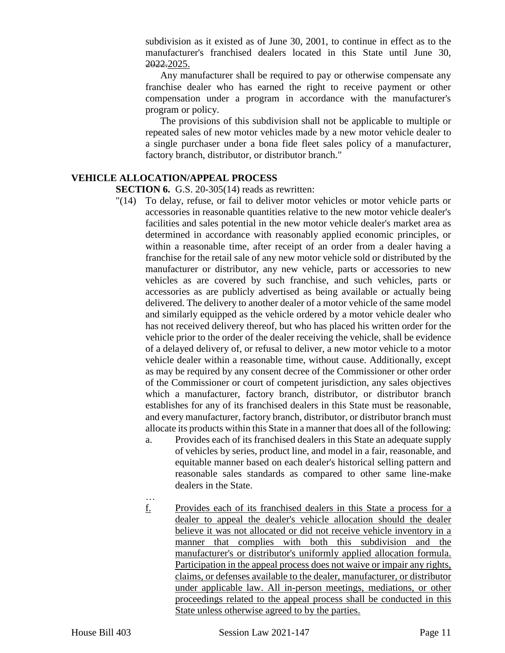subdivision as it existed as of June 30, 2001, to continue in effect as to the manufacturer's franchised dealers located in this State until June 30, 2022.2025.

Any manufacturer shall be required to pay or otherwise compensate any franchise dealer who has earned the right to receive payment or other compensation under a program in accordance with the manufacturer's program or policy.

The provisions of this subdivision shall not be applicable to multiple or repeated sales of new motor vehicles made by a new motor vehicle dealer to a single purchaser under a bona fide fleet sales policy of a manufacturer, factory branch, distributor, or distributor branch."

### **VEHICLE ALLOCATION/APPEAL PROCESS**

**SECTION 6.** G.S. 20-305(14) reads as rewritten:

- "(14) To delay, refuse, or fail to deliver motor vehicles or motor vehicle parts or accessories in reasonable quantities relative to the new motor vehicle dealer's facilities and sales potential in the new motor vehicle dealer's market area as determined in accordance with reasonably applied economic principles, or within a reasonable time, after receipt of an order from a dealer having a franchise for the retail sale of any new motor vehicle sold or distributed by the manufacturer or distributor, any new vehicle, parts or accessories to new vehicles as are covered by such franchise, and such vehicles, parts or accessories as are publicly advertised as being available or actually being delivered. The delivery to another dealer of a motor vehicle of the same model and similarly equipped as the vehicle ordered by a motor vehicle dealer who has not received delivery thereof, but who has placed his written order for the vehicle prior to the order of the dealer receiving the vehicle, shall be evidence of a delayed delivery of, or refusal to deliver, a new motor vehicle to a motor vehicle dealer within a reasonable time, without cause. Additionally, except as may be required by any consent decree of the Commissioner or other order of the Commissioner or court of competent jurisdiction, any sales objectives which a manufacturer, factory branch, distributor, or distributor branch establishes for any of its franchised dealers in this State must be reasonable, and every manufacturer, factory branch, distributor, or distributor branch must allocate its products within this State in a manner that does all of the following:
	- a. Provides each of its franchised dealers in this State an adequate supply of vehicles by series, product line, and model in a fair, reasonable, and equitable manner based on each dealer's historical selling pattern and reasonable sales standards as compared to other same line-make dealers in the State.
	- f. Provides each of its franchised dealers in this State a process for a dealer to appeal the dealer's vehicle allocation should the dealer believe it was not allocated or did not receive vehicle inventory in a manner that complies with both this subdivision and the manufacturer's or distributor's uniformly applied allocation formula. Participation in the appeal process does not waive or impair any rights, claims, or defenses available to the dealer, manufacturer, or distributor under applicable law. All in-person meetings, mediations, or other proceedings related to the appeal process shall be conducted in this State unless otherwise agreed to by the parties.

…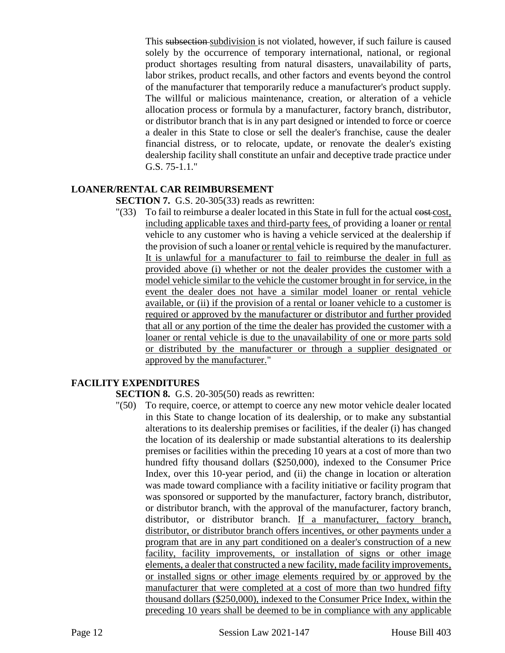This subsection subdivision is not violated, however, if such failure is caused solely by the occurrence of temporary international, national, or regional product shortages resulting from natural disasters, unavailability of parts, labor strikes, product recalls, and other factors and events beyond the control of the manufacturer that temporarily reduce a manufacturer's product supply. The willful or malicious maintenance, creation, or alteration of a vehicle allocation process or formula by a manufacturer, factory branch, distributor, or distributor branch that is in any part designed or intended to force or coerce a dealer in this State to close or sell the dealer's franchise, cause the dealer financial distress, or to relocate, update, or renovate the dealer's existing dealership facility shall constitute an unfair and deceptive trade practice under G.S. 75-1.1."

## **LOANER/RENTAL CAR REIMBURSEMENT**

- **SECTION 7.** G.S. 20-305(33) reads as rewritten:
- "(33) To fail to reimburse a dealer located in this State in full for the actual eost-cost, including applicable taxes and third-party fees, of providing a loaner or rental vehicle to any customer who is having a vehicle serviced at the dealership if the provision of such a loaner or rental vehicle is required by the manufacturer. It is unlawful for a manufacturer to fail to reimburse the dealer in full as provided above (i) whether or not the dealer provides the customer with a model vehicle similar to the vehicle the customer brought in for service, in the event the dealer does not have a similar model loaner or rental vehicle available, or (ii) if the provision of a rental or loaner vehicle to a customer is required or approved by the manufacturer or distributor and further provided that all or any portion of the time the dealer has provided the customer with a loaner or rental vehicle is due to the unavailability of one or more parts sold or distributed by the manufacturer or through a supplier designated or approved by the manufacturer."

## **FACILITY EXPENDITURES**

#### **SECTION 8.** G.S. 20-305(50) reads as rewritten:

"(50) To require, coerce, or attempt to coerce any new motor vehicle dealer located in this State to change location of its dealership, or to make any substantial alterations to its dealership premises or facilities, if the dealer (i) has changed the location of its dealership or made substantial alterations to its dealership premises or facilities within the preceding 10 years at a cost of more than two hundred fifty thousand dollars (\$250,000), indexed to the Consumer Price Index, over this 10-year period, and (ii) the change in location or alteration was made toward compliance with a facility initiative or facility program that was sponsored or supported by the manufacturer, factory branch, distributor, or distributor branch, with the approval of the manufacturer, factory branch, distributor, or distributor branch. If a manufacturer, factory branch, distributor, or distributor branch offers incentives, or other payments under a program that are in any part conditioned on a dealer's construction of a new facility, facility improvements, or installation of signs or other image elements, a dealer that constructed a new facility, made facility improvements, or installed signs or other image elements required by or approved by the manufacturer that were completed at a cost of more than two hundred fifty thousand dollars (\$250,000), indexed to the Consumer Price Index, within the preceding 10 years shall be deemed to be in compliance with any applicable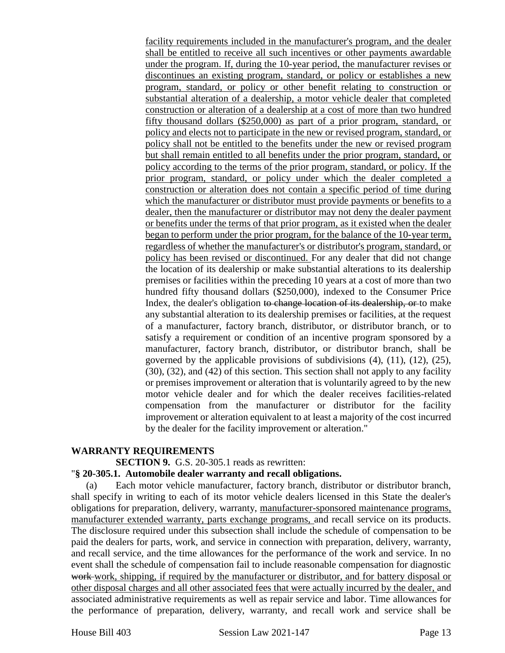facility requirements included in the manufacturer's program, and the dealer shall be entitled to receive all such incentives or other payments awardable under the program. If, during the 10-year period, the manufacturer revises or discontinues an existing program, standard, or policy or establishes a new program, standard, or policy or other benefit relating to construction or substantial alteration of a dealership, a motor vehicle dealer that completed construction or alteration of a dealership at a cost of more than two hundred fifty thousand dollars (\$250,000) as part of a prior program, standard, or policy and elects not to participate in the new or revised program, standard, or policy shall not be entitled to the benefits under the new or revised program but shall remain entitled to all benefits under the prior program, standard, or policy according to the terms of the prior program, standard, or policy. If the prior program, standard, or policy under which the dealer completed a construction or alteration does not contain a specific period of time during which the manufacturer or distributor must provide payments or benefits to a dealer, then the manufacturer or distributor may not deny the dealer payment or benefits under the terms of that prior program, as it existed when the dealer began to perform under the prior program, for the balance of the 10-year term, regardless of whether the manufacturer's or distributor's program, standard, or policy has been revised or discontinued. For any dealer that did not change the location of its dealership or make substantial alterations to its dealership premises or facilities within the preceding 10 years at a cost of more than two hundred fifty thousand dollars (\$250,000), indexed to the Consumer Price Index, the dealer's obligation to change location of its dealership, or to make any substantial alteration to its dealership premises or facilities, at the request of a manufacturer, factory branch, distributor, or distributor branch, or to satisfy a requirement or condition of an incentive program sponsored by a manufacturer, factory branch, distributor, or distributor branch, shall be governed by the applicable provisions of subdivisions (4), (11), (12), (25), (30), (32), and (42) of this section. This section shall not apply to any facility or premises improvement or alteration that is voluntarily agreed to by the new motor vehicle dealer and for which the dealer receives facilities-related compensation from the manufacturer or distributor for the facility improvement or alteration equivalent to at least a majority of the cost incurred by the dealer for the facility improvement or alteration."

#### **WARRANTY REQUIREMENTS**

**SECTION 9.** G.S. 20-305.1 reads as rewritten:

#### "**§ 20-305.1. Automobile dealer warranty and recall obligations.**

(a) Each motor vehicle manufacturer, factory branch, distributor or distributor branch, shall specify in writing to each of its motor vehicle dealers licensed in this State the dealer's obligations for preparation, delivery, warranty, manufacturer-sponsored maintenance programs, manufacturer extended warranty, parts exchange programs, and recall service on its products. The disclosure required under this subsection shall include the schedule of compensation to be paid the dealers for parts, work, and service in connection with preparation, delivery, warranty, and recall service, and the time allowances for the performance of the work and service. In no event shall the schedule of compensation fail to include reasonable compensation for diagnostic work work, shipping, if required by the manufacturer or distributor, and for battery disposal or other disposal charges and all other associated fees that were actually incurred by the dealer, and associated administrative requirements as well as repair service and labor. Time allowances for the performance of preparation, delivery, warranty, and recall work and service shall be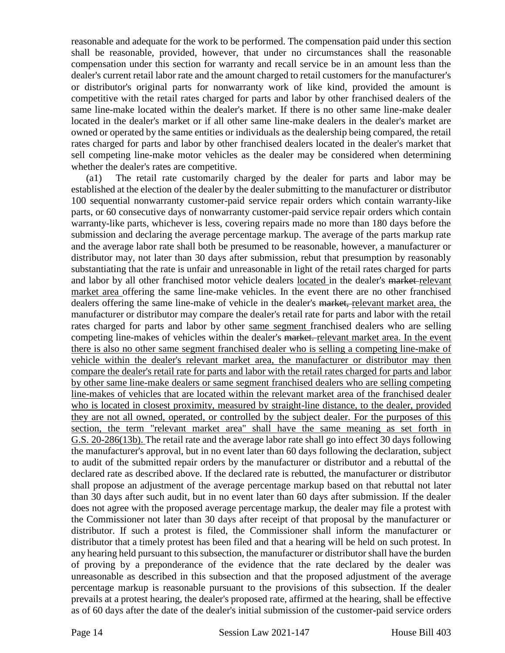reasonable and adequate for the work to be performed. The compensation paid under this section shall be reasonable, provided, however, that under no circumstances shall the reasonable compensation under this section for warranty and recall service be in an amount less than the dealer's current retail labor rate and the amount charged to retail customers for the manufacturer's or distributor's original parts for nonwarranty work of like kind, provided the amount is competitive with the retail rates charged for parts and labor by other franchised dealers of the same line-make located within the dealer's market. If there is no other same line-make dealer located in the dealer's market or if all other same line-make dealers in the dealer's market are owned or operated by the same entities or individuals as the dealership being compared, the retail rates charged for parts and labor by other franchised dealers located in the dealer's market that sell competing line-make motor vehicles as the dealer may be considered when determining whether the dealer's rates are competitive.

(a1) The retail rate customarily charged by the dealer for parts and labor may be established at the election of the dealer by the dealer submitting to the manufacturer or distributor 100 sequential nonwarranty customer-paid service repair orders which contain warranty-like parts, or 60 consecutive days of nonwarranty customer-paid service repair orders which contain warranty-like parts, whichever is less, covering repairs made no more than 180 days before the submission and declaring the average percentage markup. The average of the parts markup rate and the average labor rate shall both be presumed to be reasonable, however, a manufacturer or distributor may, not later than 30 days after submission, rebut that presumption by reasonably substantiating that the rate is unfair and unreasonable in light of the retail rates charged for parts and labor by all other franchised motor vehicle dealers located in the dealer's market relevant market area offering the same line-make vehicles. In the event there are no other franchised dealers offering the same line-make of vehicle in the dealer's market, relevant market area, the manufacturer or distributor may compare the dealer's retail rate for parts and labor with the retail rates charged for parts and labor by other same segment franchised dealers who are selling competing line-makes of vehicles within the dealer's market. relevant market area. In the event there is also no other same segment franchised dealer who is selling a competing line-make of vehicle within the dealer's relevant market area, the manufacturer or distributor may then compare the dealer's retail rate for parts and labor with the retail rates charged for parts and labor by other same line-make dealers or same segment franchised dealers who are selling competing line-makes of vehicles that are located within the relevant market area of the franchised dealer who is located in closest proximity, measured by straight-line distance, to the dealer, provided they are not all owned, operated, or controlled by the subject dealer. For the purposes of this section, the term "relevant market area" shall have the same meaning as set forth in G.S. 20-286(13b). The retail rate and the average labor rate shall go into effect 30 days following the manufacturer's approval, but in no event later than 60 days following the declaration, subject to audit of the submitted repair orders by the manufacturer or distributor and a rebuttal of the declared rate as described above. If the declared rate is rebutted, the manufacturer or distributor shall propose an adjustment of the average percentage markup based on that rebuttal not later than 30 days after such audit, but in no event later than 60 days after submission. If the dealer does not agree with the proposed average percentage markup, the dealer may file a protest with the Commissioner not later than 30 days after receipt of that proposal by the manufacturer or distributor. If such a protest is filed, the Commissioner shall inform the manufacturer or distributor that a timely protest has been filed and that a hearing will be held on such protest. In any hearing held pursuant to this subsection, the manufacturer or distributor shall have the burden of proving by a preponderance of the evidence that the rate declared by the dealer was unreasonable as described in this subsection and that the proposed adjustment of the average percentage markup is reasonable pursuant to the provisions of this subsection. If the dealer prevails at a protest hearing, the dealer's proposed rate, affirmed at the hearing, shall be effective as of 60 days after the date of the dealer's initial submission of the customer-paid service orders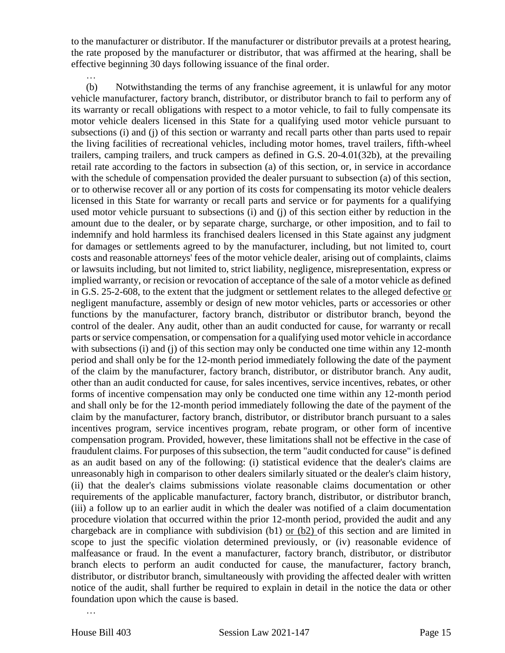to the manufacturer or distributor. If the manufacturer or distributor prevails at a protest hearing, the rate proposed by the manufacturer or distributor, that was affirmed at the hearing, shall be effective beginning 30 days following issuance of the final order.

(b) Notwithstanding the terms of any franchise agreement, it is unlawful for any motor vehicle manufacturer, factory branch, distributor, or distributor branch to fail to perform any of its warranty or recall obligations with respect to a motor vehicle, to fail to fully compensate its motor vehicle dealers licensed in this State for a qualifying used motor vehicle pursuant to subsections (i) and (j) of this section or warranty and recall parts other than parts used to repair the living facilities of recreational vehicles, including motor homes, travel trailers, fifth-wheel trailers, camping trailers, and truck campers as defined in G.S. 20-4.01(32b), at the prevailing retail rate according to the factors in subsection (a) of this section, or, in service in accordance with the schedule of compensation provided the dealer pursuant to subsection (a) of this section, or to otherwise recover all or any portion of its costs for compensating its motor vehicle dealers licensed in this State for warranty or recall parts and service or for payments for a qualifying used motor vehicle pursuant to subsections (i) and (j) of this section either by reduction in the amount due to the dealer, or by separate charge, surcharge, or other imposition, and to fail to indemnify and hold harmless its franchised dealers licensed in this State against any judgment for damages or settlements agreed to by the manufacturer, including, but not limited to, court costs and reasonable attorneys' fees of the motor vehicle dealer, arising out of complaints, claims or lawsuits including, but not limited to, strict liability, negligence, misrepresentation, express or implied warranty, or recision or revocation of acceptance of the sale of a motor vehicle as defined in G.S. 25-2-608, to the extent that the judgment or settlement relates to the alleged defective or negligent manufacture, assembly or design of new motor vehicles, parts or accessories or other functions by the manufacturer, factory branch, distributor or distributor branch, beyond the control of the dealer. Any audit, other than an audit conducted for cause, for warranty or recall parts or service compensation, or compensation for a qualifying used motor vehicle in accordance with subsections (i) and (j) of this section may only be conducted one time within any 12-month period and shall only be for the 12-month period immediately following the date of the payment of the claim by the manufacturer, factory branch, distributor, or distributor branch. Any audit, other than an audit conducted for cause, for sales incentives, service incentives, rebates, or other forms of incentive compensation may only be conducted one time within any 12-month period and shall only be for the 12-month period immediately following the date of the payment of the claim by the manufacturer, factory branch, distributor, or distributor branch pursuant to a sales incentives program, service incentives program, rebate program, or other form of incentive compensation program. Provided, however, these limitations shall not be effective in the case of fraudulent claims. For purposes of this subsection, the term "audit conducted for cause" is defined as an audit based on any of the following: (i) statistical evidence that the dealer's claims are unreasonably high in comparison to other dealers similarly situated or the dealer's claim history, (ii) that the dealer's claims submissions violate reasonable claims documentation or other requirements of the applicable manufacturer, factory branch, distributor, or distributor branch, (iii) a follow up to an earlier audit in which the dealer was notified of a claim documentation procedure violation that occurred within the prior 12-month period, provided the audit and any chargeback are in compliance with subdivision (b1) or (b2) of this section and are limited in scope to just the specific violation determined previously, or (iv) reasonable evidence of malfeasance or fraud. In the event a manufacturer, factory branch, distributor, or distributor branch elects to perform an audit conducted for cause, the manufacturer, factory branch, distributor, or distributor branch, simultaneously with providing the affected dealer with written notice of the audit, shall further be required to explain in detail in the notice the data or other foundation upon which the cause is based.

…

…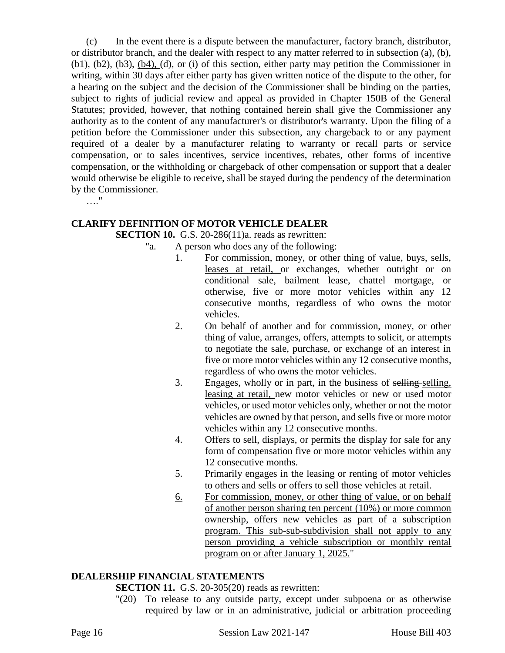(c) In the event there is a dispute between the manufacturer, factory branch, distributor, or distributor branch, and the dealer with respect to any matter referred to in subsection (a), (b), (b1), (b2), (b3), (b4), (d), or (i) of this section, either party may petition the Commissioner in writing, within 30 days after either party has given written notice of the dispute to the other, for a hearing on the subject and the decision of the Commissioner shall be binding on the parties, subject to rights of judicial review and appeal as provided in Chapter 150B of the General Statutes; provided, however, that nothing contained herein shall give the Commissioner any authority as to the content of any manufacturer's or distributor's warranty. Upon the filing of a petition before the Commissioner under this subsection, any chargeback to or any payment required of a dealer by a manufacturer relating to warranty or recall parts or service compensation, or to sales incentives, service incentives, rebates, other forms of incentive compensation, or the withholding or chargeback of other compensation or support that a dealer would otherwise be eligible to receive, shall be stayed during the pendency of the determination by the Commissioner.

…."

## **CLARIFY DEFINITION OF MOTOR VEHICLE DEALER**

**SECTION 10.** G.S. 20-286(11)a. reads as rewritten:

- "a. A person who does any of the following:
	- 1. For commission, money, or other thing of value, buys, sells, leases at retail, or exchanges, whether outright or on conditional sale, bailment lease, chattel mortgage, or otherwise, five or more motor vehicles within any 12 consecutive months, regardless of who owns the motor vehicles.
	- 2. On behalf of another and for commission, money, or other thing of value, arranges, offers, attempts to solicit, or attempts to negotiate the sale, purchase, or exchange of an interest in five or more motor vehicles within any 12 consecutive months, regardless of who owns the motor vehicles.
	- 3. Engages, wholly or in part, in the business of selling-selling, leasing at retail, new motor vehicles or new or used motor vehicles, or used motor vehicles only, whether or not the motor vehicles are owned by that person, and sells five or more motor vehicles within any 12 consecutive months.
	- 4. Offers to sell, displays, or permits the display for sale for any form of compensation five or more motor vehicles within any 12 consecutive months.
	- 5. Primarily engages in the leasing or renting of motor vehicles to others and sells or offers to sell those vehicles at retail.
	- 6. For commission, money, or other thing of value, or on behalf of another person sharing ten percent (10%) or more common ownership, offers new vehicles as part of a subscription program. This sub-sub-subdivision shall not apply to any person providing a vehicle subscription or monthly rental program on or after January 1, 2025."

# **DEALERSHIP FINANCIAL STATEMENTS**

**SECTION 11.** G.S. 20-305(20) reads as rewritten:

"(20) To release to any outside party, except under subpoena or as otherwise required by law or in an administrative, judicial or arbitration proceeding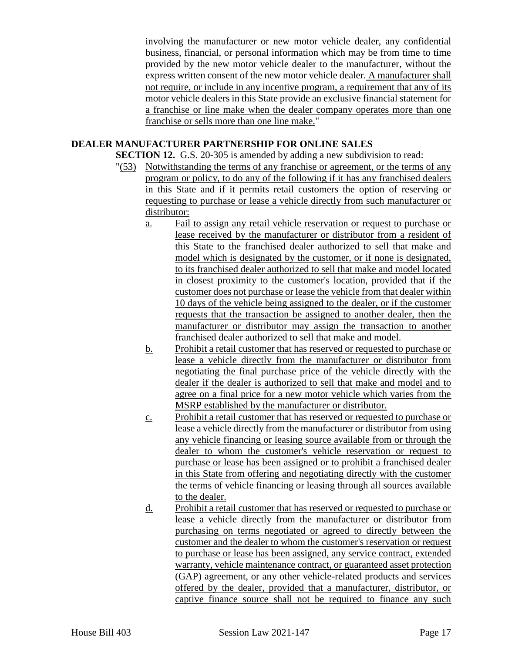involving the manufacturer or new motor vehicle dealer, any confidential business, financial, or personal information which may be from time to time provided by the new motor vehicle dealer to the manufacturer, without the express written consent of the new motor vehicle dealer. A manufacturer shall not require, or include in any incentive program, a requirement that any of its motor vehicle dealers in this State provide an exclusive financial statement for a franchise or line make when the dealer company operates more than one franchise or sells more than one line make."

### **DEALER MANUFACTURER PARTNERSHIP FOR ONLINE SALES**

**SECTION 12.** G.S. 20-305 is amended by adding a new subdivision to read:

- "(53) Notwithstanding the terms of any franchise or agreement, or the terms of any program or policy, to do any of the following if it has any franchised dealers in this State and if it permits retail customers the option of reserving or requesting to purchase or lease a vehicle directly from such manufacturer or distributor:
	- a. Fail to assign any retail vehicle reservation or request to purchase or lease received by the manufacturer or distributor from a resident of this State to the franchised dealer authorized to sell that make and model which is designated by the customer, or if none is designated, to its franchised dealer authorized to sell that make and model located in closest proximity to the customer's location, provided that if the customer does not purchase or lease the vehicle from that dealer within 10 days of the vehicle being assigned to the dealer, or if the customer requests that the transaction be assigned to another dealer, then the manufacturer or distributor may assign the transaction to another franchised dealer authorized to sell that make and model.
	- b. Prohibit a retail customer that has reserved or requested to purchase or lease a vehicle directly from the manufacturer or distributor from negotiating the final purchase price of the vehicle directly with the dealer if the dealer is authorized to sell that make and model and to agree on a final price for a new motor vehicle which varies from the MSRP established by the manufacturer or distributor.
	- c. Prohibit a retail customer that has reserved or requested to purchase or lease a vehicle directly from the manufacturer or distributor from using any vehicle financing or leasing source available from or through the dealer to whom the customer's vehicle reservation or request to purchase or lease has been assigned or to prohibit a franchised dealer in this State from offering and negotiating directly with the customer the terms of vehicle financing or leasing through all sources available to the dealer.
	- d. Prohibit a retail customer that has reserved or requested to purchase or lease a vehicle directly from the manufacturer or distributor from purchasing on terms negotiated or agreed to directly between the customer and the dealer to whom the customer's reservation or request to purchase or lease has been assigned, any service contract, extended warranty, vehicle maintenance contract, or guaranteed asset protection (GAP) agreement, or any other vehicle-related products and services offered by the dealer, provided that a manufacturer, distributor, or captive finance source shall not be required to finance any such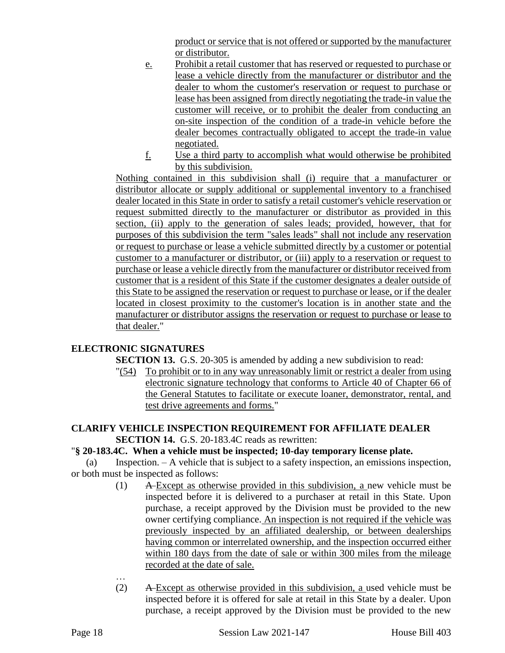product or service that is not offered or supported by the manufacturer or distributor.

- e. Prohibit a retail customer that has reserved or requested to purchase or lease a vehicle directly from the manufacturer or distributor and the dealer to whom the customer's reservation or request to purchase or lease has been assigned from directly negotiating the trade-in value the customer will receive, or to prohibit the dealer from conducting an on-site inspection of the condition of a trade-in vehicle before the dealer becomes contractually obligated to accept the trade-in value negotiated.
- f. Use a third party to accomplish what would otherwise be prohibited by this subdivision.

Nothing contained in this subdivision shall (i) require that a manufacturer or distributor allocate or supply additional or supplemental inventory to a franchised dealer located in this State in order to satisfy a retail customer's vehicle reservation or request submitted directly to the manufacturer or distributor as provided in this section, (ii) apply to the generation of sales leads; provided, however, that for purposes of this subdivision the term "sales leads" shall not include any reservation or request to purchase or lease a vehicle submitted directly by a customer or potential customer to a manufacturer or distributor, or (iii) apply to a reservation or request to purchase or lease a vehicle directly from the manufacturer or distributor received from customer that is a resident of this State if the customer designates a dealer outside of this State to be assigned the reservation or request to purchase or lease, or if the dealer located in closest proximity to the customer's location is in another state and the manufacturer or distributor assigns the reservation or request to purchase or lease to that dealer."

# **ELECTRONIC SIGNATURES**

**SECTION 13.** G.S. 20-305 is amended by adding a new subdivision to read:

"(54) To prohibit or to in any way unreasonably limit or restrict a dealer from using electronic signature technology that conforms to Article 40 of Chapter 66 of the General Statutes to facilitate or execute loaner, demonstrator, rental, and test drive agreements and forms."

## **CLARIFY VEHICLE INSPECTION REQUIREMENT FOR AFFILIATE DEALER SECTION 14.** G.S. 20-183.4C reads as rewritten:

## "**§ 20-183.4C. When a vehicle must be inspected; 10-day temporary license plate.**

(a) Inspection. – A vehicle that is subject to a safety inspection, an emissions inspection, or both must be inspected as follows:

- (1) A Except as otherwise provided in this subdivision, a new vehicle must be inspected before it is delivered to a purchaser at retail in this State. Upon purchase, a receipt approved by the Division must be provided to the new owner certifying compliance. An inspection is not required if the vehicle was previously inspected by an affiliated dealership, or between dealerships having common or interrelated ownership, and the inspection occurred either within 180 days from the date of sale or within 300 miles from the mileage recorded at the date of sale.
- …
- (2) A Except as otherwise provided in this subdivision, a used vehicle must be inspected before it is offered for sale at retail in this State by a dealer. Upon purchase, a receipt approved by the Division must be provided to the new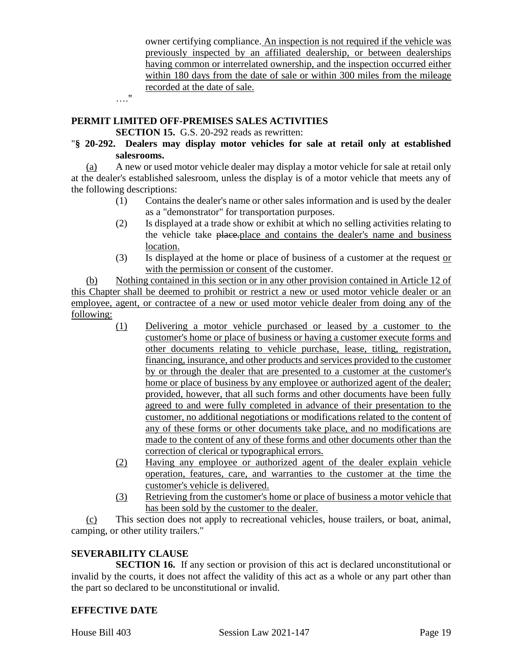owner certifying compliance. An inspection is not required if the vehicle was previously inspected by an affiliated dealership, or between dealerships having common or interrelated ownership, and the inspection occurred either within 180 days from the date of sale or within 300 miles from the mileage recorded at the date of sale.

#### **PERMIT LIMITED OFF-PREMISES SALES ACTIVITIES**

…."

#### **SECTION 15.** G.S. 20-292 reads as rewritten:

## "**§ 20-292. Dealers may display motor vehicles for sale at retail only at established salesrooms.**

(a) A new or used motor vehicle dealer may display a motor vehicle for sale at retail only at the dealer's established salesroom, unless the display is of a motor vehicle that meets any of the following descriptions:

- (1) Contains the dealer's name or other sales information and is used by the dealer as a "demonstrator" for transportation purposes.
- (2) Is displayed at a trade show or exhibit at which no selling activities relating to the vehicle take place.place and contains the dealer's name and business location.
- (3) Is displayed at the home or place of business of a customer at the request or with the permission or consent of the customer.

(b) Nothing contained in this section or in any other provision contained in Article 12 of this Chapter shall be deemed to prohibit or restrict a new or used motor vehicle dealer or an employee, agent, or contractee of a new or used motor vehicle dealer from doing any of the following:

- (1) Delivering a motor vehicle purchased or leased by a customer to the customer's home or place of business or having a customer execute forms and other documents relating to vehicle purchase, lease, titling, registration, financing, insurance, and other products and services provided to the customer by or through the dealer that are presented to a customer at the customer's home or place of business by any employee or authorized agent of the dealer; provided, however, that all such forms and other documents have been fully agreed to and were fully completed in advance of their presentation to the customer, no additional negotiations or modifications related to the content of any of these forms or other documents take place, and no modifications are made to the content of any of these forms and other documents other than the correction of clerical or typographical errors.
- (2) Having any employee or authorized agent of the dealer explain vehicle operation, features, care, and warranties to the customer at the time the customer's vehicle is delivered.
- (3) Retrieving from the customer's home or place of business a motor vehicle that has been sold by the customer to the dealer.

(c) This section does not apply to recreational vehicles, house trailers, or boat, animal, camping, or other utility trailers."

## **SEVERABILITY CLAUSE**

**SECTION 16.** If any section or provision of this act is declared unconstitutional or invalid by the courts, it does not affect the validity of this act as a whole or any part other than the part so declared to be unconstitutional or invalid.

#### **EFFECTIVE DATE**